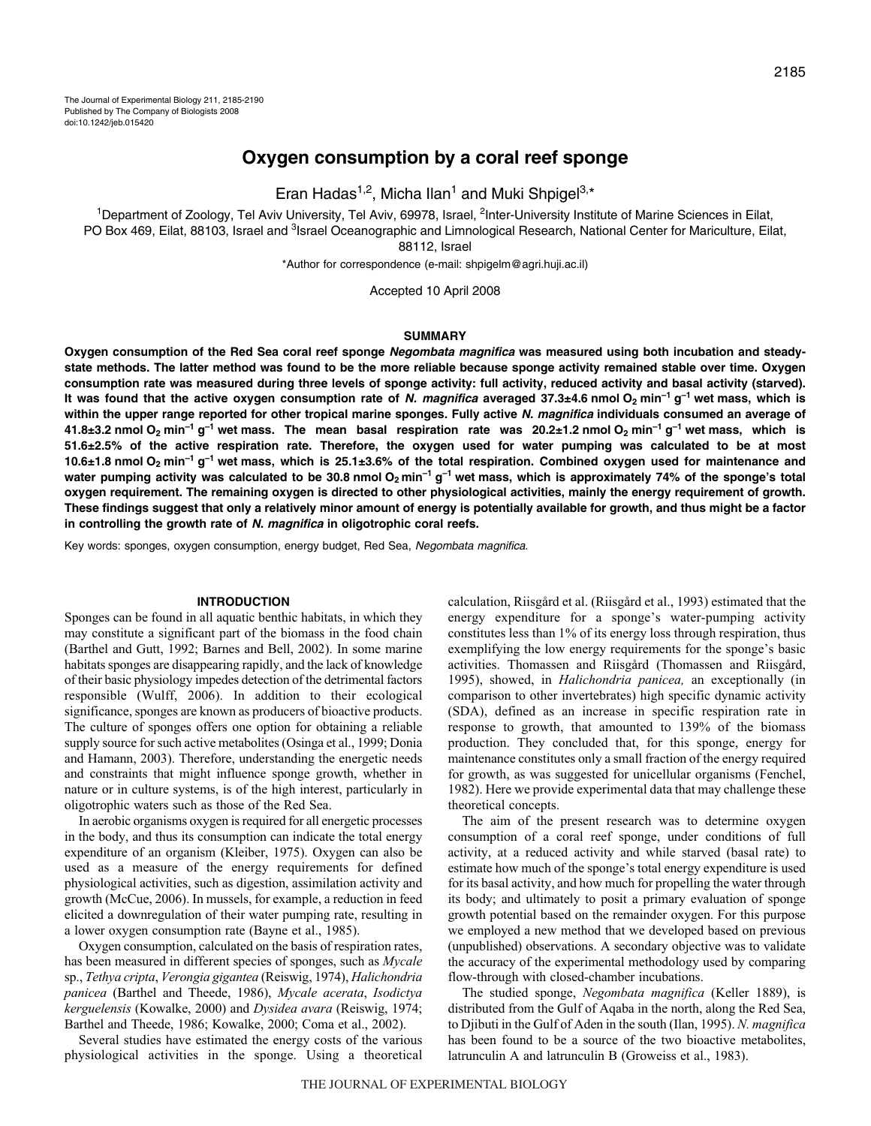# **Oxygen consumption by a coral reef sponge**

Eran Hadas<sup>1,2</sup>, Micha Ilan<sup>1</sup> and Muki Shpigel<sup>3,\*</sup>

<sup>1</sup>Department of Zoology, Tel Aviv University, Tel Aviv, 69978, Israel, <sup>2</sup>Inter-University Institute of Marine Sciences in Eilat, PO Box 469, Eilat, 88103, Israel and <sup>3</sup>Israel Oceanographic and Limnological Research, National Center for Mariculture, Eilat, 88112, Israel

\*Author for correspondence (e-mail: shpigelm@agri.huji.ac.il)

Accepted 10 April 2008

### **SUMMARY**

**Oxygen consumption of the Red Sea coral reef sponge Negombata magnifica was measured using both incubation and steadystate methods. The latter method was found to be the more reliable because sponge activity remained stable over time. Oxygen consumption rate was measured during three levels of sponge activity: full activity, reduced activity and basal activity (starved).** It was found that the active oxygen consumption rate of *N. magnifica* averaged 37.3±4.6 nmol O<sub>2</sub> min<sup>-1</sup> g<sup>-1</sup> wet mass, which is **within the upper range reported for other tropical marine sponges. Fully active N. magnifica individuals consumed an average of** 41.8±3.2 nmol O<sub>2</sub> min<sup>-1</sup> g<sup>-1</sup> wet mass. The mean basal respiration rate was 20.2±1.2 nmol O<sub>2</sub> min<sup>-1</sup> g<sup>-1</sup> wet mass, which is **51.6±2.5% of the active respiration rate. Therefore, the oxygen used for water pumping was calculated to be at most** 10.6±1.8 nmol O<sub>2</sub> min<sup>-1</sup> g<sup>-1</sup> wet mass, which is 25.1±3.6% of the total respiration. Combined oxygen used for maintenance and water pumping activity was calculated to be 30.8 nmol  $O_2$  min<sup>-1</sup> g<sup>-1</sup> wet mass, which is approximately 74% of the sponge's total **oxygen requirement. The remaining oxygen is directed to other physiological activities, mainly the energy requirement of growth. These findings suggest that only a relatively minor amount of energy is potentially available for growth, and thus might be a factor in controlling the growth rate of N. magnifica in oligotrophic coral reefs.**

Key words: sponges, oxygen consumption, energy budget, Red Sea, Negombata magnifica.

### **INTRODUCTION**

Sponges can be found in all aquatic benthic habitats, in which they may constitute a significant part of the biomass in the food chain (Barthel and Gutt, 1992; Barnes and Bell, 2002). In some marine habitats sponges are disappearing rapidly, and the lack of knowledge of their basic physiology impedes detection of the detrimental factors responsible (Wulff, 2006). In addition to their ecological significance, sponges are known as producers of bioactive products. The culture of sponges offers one option for obtaining a reliable supply source for such active metabolites (Osinga et al., 1999; Donia and Hamann, 2003). Therefore, understanding the energetic needs and constraints that might influence sponge growth, whether in nature or in culture systems, is of the high interest, particularly in oligotrophic waters such as those of the Red Sea.

In aerobic organisms oxygen is required for all energetic processes in the body, and thus its consumption can indicate the total energy expenditure of an organism (Kleiber, 1975). Oxygen can also be used as a measure of the energy requirements for defined physiological activities, such as digestion, assimilation activity and growth (McCue, 2006). In mussels, for example, a reduction in feed elicited a downregulation of their water pumping rate, resulting in a lower oxygen consumption rate (Bayne et al., 1985).

Oxygen consumption, calculated on the basis of respiration rates, has been measured in different species of sponges, such as *Mycale* sp., *Tethya cripta*, *Verongia gigantea* (Reiswig, 1974), *Halichondria panicea* (Barthel and Theede, 1986), *Mycale acerata*, *Isodictya kerguelensis* (Kowalke, 2000) and *Dysidea avara* (Reiswig, 1974; Barthel and Theede, 1986; Kowalke, 2000; Coma et al., 2002).

Several studies have estimated the energy costs of the various physiological activities in the sponge. Using a theoretical calculation, Riisgård et al. (Riisgård et al., 1993) estimated that the energy expenditure for a sponge's water-pumping activity constitutes less than 1% of its energy loss through respiration, thus exemplifying the low energy requirements for the sponge's basic activities. Thomassen and Riisgård (Thomassen and Riisgård, 1995), showed, in *Halichondria panicea,* an exceptionally (in comparison to other invertebrates) high specific dynamic activity (SDA), defined as an increase in specific respiration rate in response to growth, that amounted to 139% of the biomass production. They concluded that, for this sponge, energy for maintenance constitutes only a small fraction of the energy required for growth, as was suggested for unicellular organisms (Fenchel, 1982). Here we provide experimental data that may challenge these theoretical concepts.

The aim of the present research was to determine oxygen consumption of a coral reef sponge, under conditions of full activity, at a reduced activity and while starved (basal rate) to estimate how much of the sponge's total energy expenditure is used for its basal activity, and how much for propelling the water through its body; and ultimately to posit a primary evaluation of sponge growth potential based on the remainder oxygen. For this purpose we employed a new method that we developed based on previous (unpublished) observations. A secondary objective was to validate the accuracy of the experimental methodology used by comparing flow-through with closed-chamber incubations.

The studied sponge, *Negombata magnifica* (Keller 1889), is distributed from the Gulf of Aqaba in the north, along the Red Sea, to Djibuti in the Gulf of Aden in the south (Ilan, 1995). *N. magnifica* has been found to be a source of the two bioactive metabolites, latrunculin A and latrunculin B (Groweiss et al., 1983).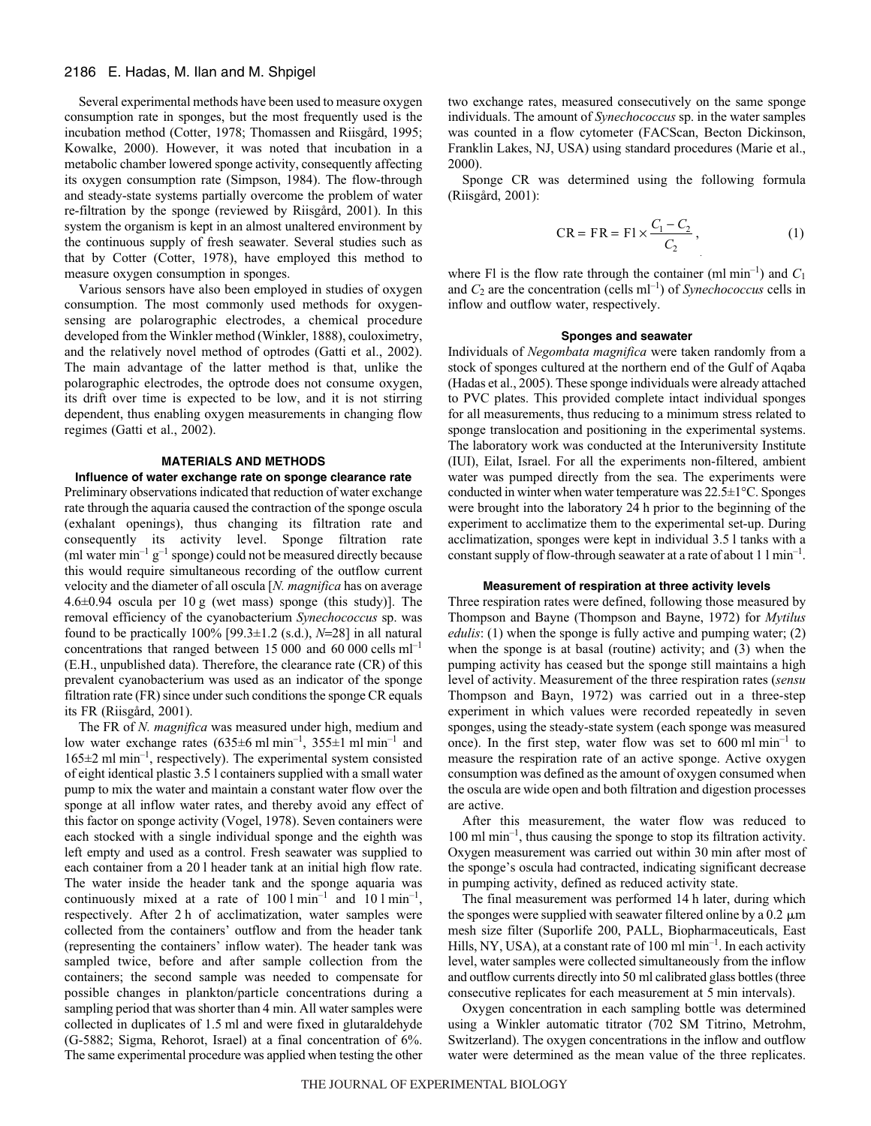# 2186 E. Hadas, M. Ilan and M. Shpigel

Several experimental methods have been used to measure oxygen consumption rate in sponges, but the most frequently used is the incubation method (Cotter, 1978; Thomassen and Riisgård, 1995; Kowalke, 2000). However, it was noted that incubation in a metabolic chamber lowered sponge activity, consequently affecting its oxygen consumption rate (Simpson, 1984). The flow-through and steady-state systems partially overcome the problem of water re-filtration by the sponge (reviewed by Riisgård, 2001). In this system the organism is kept in an almost unaltered environment by the continuous supply of fresh seawater. Several studies such as that by Cotter (Cotter, 1978), have employed this method to measure oxygen consumption in sponges.

Various sensors have also been employed in studies of oxygen consumption. The most commonly used methods for oxygensensing are polarographic electrodes, a chemical procedure developed from the Winkler method (Winkler, 1888), couloximetry, and the relatively novel method of optrodes (Gatti et al., 2002). The main advantage of the latter method is that, unlike the polarographic electrodes, the optrode does not consume oxygen, its drift over time is expected to be low, and it is not stirring dependent, thus enabling oxygen measurements in changing flow regimes (Gatti et al., 2002).

# **MATERIALS AND METHODS**

# **Influence of water exchange rate on sponge clearance rate**

Preliminary observations indicated that reduction of water exchange rate through the aquaria caused the contraction of the sponge oscula (exhalant openings), thus changing its filtration rate and consequently its activity level. Sponge filtration rate (ml water  $min^{-1} g^{-1}$  sponge) could not be measured directly because this would require simultaneous recording of the outflow current velocity and the diameter of all oscula [*N. magnifica* has on average  $4.6\pm0.94$  oscula per 10 g (wet mass) sponge (this study)]. The removal efficiency of the cyanobacterium *Synechococcus* sp. was found to be practically 100% [99.3±1.2 (s.d.), *N*=28] in all natural concentrations that ranged between 15 000 and 60 000 cells  $ml^{-1}$ (E.H., unpublished data). Therefore, the clearance rate (CR) of this prevalent cyanobacterium was used as an indicator of the sponge filtration rate (FR) since under such conditions the sponge CR equals its FR (Riisgård, 2001).

The FR of *N. magnifica* was measured under high, medium and low water exchange rates (635 $\pm$ 6 ml min<sup>-1</sup>, 355 $\pm$ 1 ml min<sup>-1</sup> and  $165\pm2$  ml min<sup>-1</sup>, respectively). The experimental system consisted of eight identical plastic 3.5 l containers supplied with a small water pump to mix the water and maintain a constant water flow over the sponge at all inflow water rates, and thereby avoid any effect of this factor on sponge activity (Vogel, 1978). Seven containers were each stocked with a single individual sponge and the eighth was left empty and used as a control. Fresh seawater was supplied to each container from a 20 l header tank at an initial high flow rate. The water inside the header tank and the sponge aquaria was continuously mixed at a rate of  $1001 \text{min}^{-1}$  and  $101 \text{min}^{-1}$ , respectively. After 2 h of acclimatization, water samples were collected from the containers' outflow and from the header tank (representing the containers' inflow water). The header tank was sampled twice, before and after sample collection from the containers; the second sample was needed to compensate for possible changes in plankton/particle concentrations during a sampling period that was shorter than 4 min. All water samples were collected in duplicates of 1.5 ml and were fixed in glutaraldehyde (G-5882; Sigma, Rehorot, Israel) at a final concentration of 6%. The same experimental procedure was applied when testing the other

two exchange rates, measured consecutively on the same sponge individuals. The amount of *Synechococcus* sp. in the water samples was counted in a flow cytometer (FACScan, Becton Dickinson, Franklin Lakes, NJ, USA) using standard procedures (Marie et al., 2000).

Sponge CR was determined using the following formula (Riisgård, 2001):

$$
CR = FR = Fl \times \frac{C_1 - C_2}{C_2},\tag{1}
$$

where Fl is the flow rate through the container (ml min<sup>-1</sup>) and  $C_1$ and  $C_2$  are the concentration (cells  $ml^{-1}$ ) of *Synechococcus* cells in inflow and outflow water, respectively.

### **Sponges and seawater**

Individuals of *Negombata magnifica* were taken randomly from a stock of sponges cultured at the northern end of the Gulf of Aqaba (Hadas et al., 2005). These sponge individuals were already attached to PVC plates. This provided complete intact individual sponges for all measurements, thus reducing to a minimum stress related to sponge translocation and positioning in the experimental systems. The laboratory work was conducted at the Interuniversity Institute (IUI), Eilat, Israel. For all the experiments non-filtered, ambient water was pumped directly from the sea. The experiments were conducted in winter when water temperature was 22.5±1°C. Sponges were brought into the laboratory 24 h prior to the beginning of the experiment to acclimatize them to the experimental set-up. During acclimatization, sponges were kept in individual 3.5 l tanks with a constant supply of flow-through seawater at a rate of about  $1 \text{ l min}^{-1}$ .

# **Measurement of respiration at three activity levels**

Three respiration rates were defined, following those measured by Thompson and Bayne (Thompson and Bayne, 1972) for *Mytilus edulis*: (1) when the sponge is fully active and pumping water; (2) when the sponge is at basal (routine) activity; and (3) when the pumping activity has ceased but the sponge still maintains a high level of activity. Measurement of the three respiration rates (*sensu* Thompson and Bayn, 1972) was carried out in a three-step experiment in which values were recorded repeatedly in seven sponges, using the steady-state system (each sponge was measured once). In the first step, water flow was set to  $600 \text{ ml min}^{-1}$  to measure the respiration rate of an active sponge. Active oxygen consumption was defined as the amount of oxygen consumed when the oscula are wide open and both filtration and digestion processes are active.

After this measurement, the water flow was reduced to  $100 \text{ ml min}^{-1}$ , thus causing the sponge to stop its filtration activity. Oxygen measurement was carried out within 30 min after most of the sponge's oscula had contracted, indicating significant decrease in pumping activity, defined as reduced activity state.

The final measurement was performed 14 h later, during which the sponges were supplied with seawater filtered online by a  $0.2~\mu m$ mesh size filter (Suporlife 200, PALL, Biopharmaceuticals, East Hills, NY, USA), at a constant rate of 100 ml  $min^{-1}$ . In each activity level, water samples were collected simultaneously from the inflow and outflow currents directly into 50 ml calibrated glass bottles (three consecutive replicates for each measurement at 5 min intervals).

Oxygen concentration in each sampling bottle was determined using a Winkler automatic titrator (702 SM Titrino, Metrohm, Switzerland). The oxygen concentrations in the inflow and outflow water were determined as the mean value of the three replicates.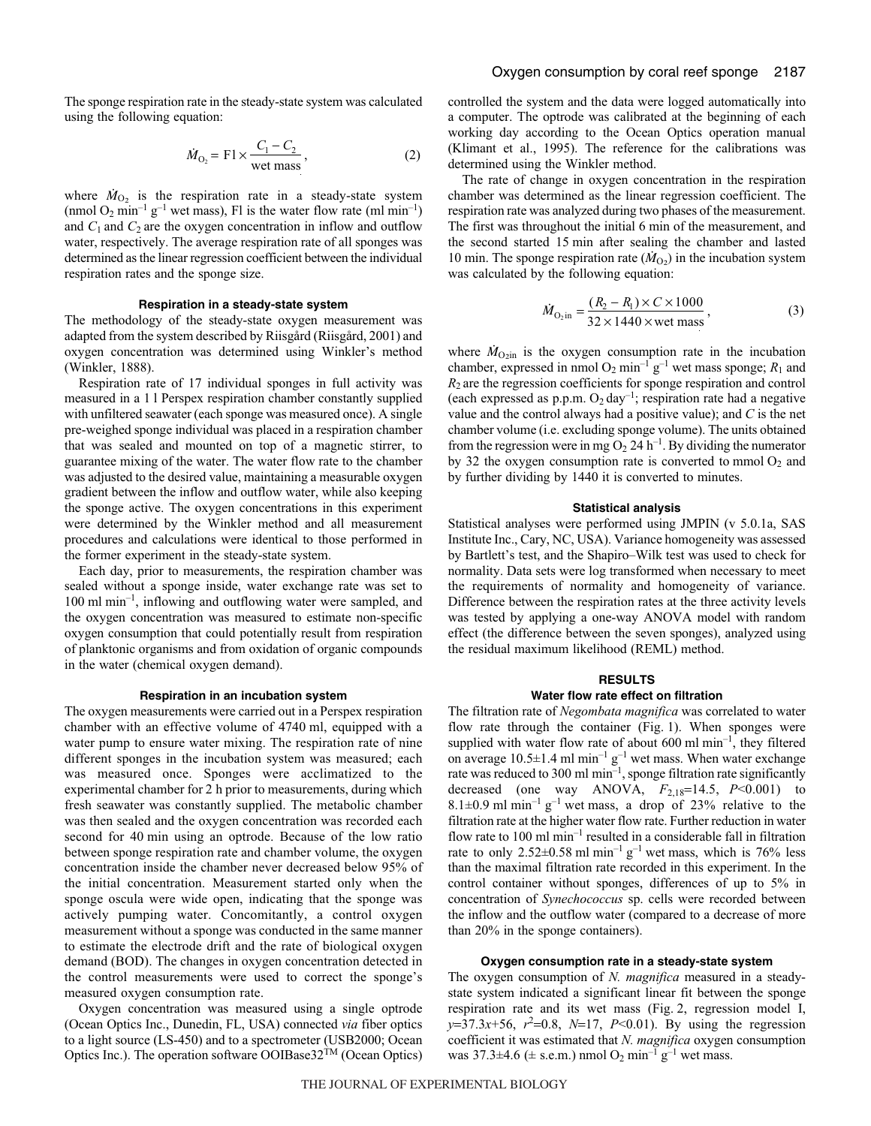The sponge respiration rate in the steady-state system was calculated using the following equation:

$$
\dot{M}_{\text{O}_2} = \text{Fl} \times \frac{C_1 - C_2}{\text{wet mass}},\tag{2}
$$

where  $\dot{M}_{\text{O}_2}$  is the respiration rate in a steady-state system (nmol  $O_2 \text{min}^{-1} g^{-1}$  wet mass), Fl is the water flow rate (ml min<sup>-1</sup>) and  $C_1$  and  $C_2$  are the oxygen concentration in inflow and outflow water, respectively. The average respiration rate of all sponges was determined as the linear regression coefficient between the individual respiration rates and the sponge size.

# **Respiration in a steady-state system**

The methodology of the steady-state oxygen measurement was adapted from the system described by Riisgård (Riisgård, 2001) and oxygen concentration was determined using Winkler's method (Winkler, 1888).

Respiration rate of 17 individual sponges in full activity was measured in a 11 Perspex respiration chamber constantly supplied with unfiltered seawater (each sponge was measured once). A single pre-weighed sponge individual was placed in a respiration chamber that was sealed and mounted on top of a magnetic stirrer, to guarantee mixing of the water. The water flow rate to the chamber was adjusted to the desired value, maintaining a measurable oxygen gradient between the inflow and outflow water, while also keeping the sponge active. The oxygen concentrations in this experiment were determined by the Winkler method and all measurement procedures and calculations were identical to those performed in the former experiment in the steady-state system.

Each day, prior to measurements, the respiration chamber was sealed without a sponge inside, water exchange rate was set to 100 ml min<sup>-1</sup>, inflowing and outflowing water were sampled, and the oxygen concentration was measured to estimate non-specific oxygen consumption that could potentially result from respiration of planktonic organisms and from oxidation of organic compounds in the water (chemical oxygen demand).

# **Respiration in an incubation system**

The oxygen measurements were carried out in a Perspex respiration chamber with an effective volume of 4740 ml, equipped with a water pump to ensure water mixing. The respiration rate of nine different sponges in the incubation system was measured; each was measured once. Sponges were acclimatized to the experimental chamber for 2 h prior to measurements, during which fresh seawater was constantly supplied. The metabolic chamber was then sealed and the oxygen concentration was recorded each second for 40 min using an optrode. Because of the low ratio between sponge respiration rate and chamber volume, the oxygen concentration inside the chamber never decreased below 95% of the initial concentration. Measurement started only when the sponge oscula were wide open, indicating that the sponge was actively pumping water. Concomitantly, a control oxygen measurement without a sponge was conducted in the same manner to estimate the electrode drift and the rate of biological oxygen demand (BOD). The changes in oxygen concentration detected in the control measurements were used to correct the sponge's measured oxygen consumption rate.

Oxygen concentration was measured using a single optrode (Ocean Optics Inc., Dunedin, FL, USA) connected *via* fiber optics to a light source (LS-450) and to a spectrometer (USB2000; Ocean Optics Inc.). The operation software OOIBase $32^{TM}$  (Ocean Optics) controlled the system and the data were logged automatically into a computer. The optrode was calibrated at the beginning of each working day according to the Ocean Optics operation manual (Klimant et al., 1995). The reference for the calibrations was determined using the Winkler method.

The rate of change in oxygen concentration in the respiration chamber was determined as the linear regression coefficient. The respiration rate was analyzed during two phases of the measurement. The first was throughout the initial 6 min of the measurement, and the second started 15 min after sealing the chamber and lasted 10 min. The sponge respiration rate  $(M<sub>O2</sub>)$  in the incubation system was calculated by the following equation:

$$
\dot{M}_{\text{O}_2\text{in}} = \frac{(R_2 - R_1) \times C \times 1000}{32 \times 1440 \times \text{wet mass}},
$$
\n(3)

where  $\dot{M}_{\text{O}_2\text{in}}$  is the oxygen consumption rate in the incubation chamber, expressed in nmol  $O_2$  min<sup>-1</sup> g<sup>-1</sup> wet mass sponge;  $R_1$  and *R*2 are the regression coefficients for sponge respiration and control (each expressed as p.p.m.  $O_2$  day<sup>-1</sup>; respiration rate had a negative value and the control always had a positive value); and *C* is the net chamber volume (i.e. excluding sponge volume). The units obtained from the regression were in mg $O_2$  24 h<sup>-1</sup>. By dividing the numerator by 32 the oxygen consumption rate is converted to mmol  $O_2$  and by further dividing by 1440 it is converted to minutes.

### **Statistical analysis**

Statistical analyses were performed using JMPIN (v 5.0.1a, SAS Institute Inc., Cary, NC, USA). Variance homogeneity was assessed by Bartlett's test, and the Shapiro–Wilk test was used to check for normality. Data sets were log transformed when necessary to meet the requirements of normality and homogeneity of variance. Difference between the respiration rates at the three activity levels was tested by applying a one-way ANOVA model with random effect (the difference between the seven sponges), analyzed using the residual maximum likelihood (REML) method.

# **RESULTS**

# **Water flow rate effect on filtration**

The filtration rate of *Negombata magnifica* was correlated to water flow rate through the container (Fig. 1). When sponges were supplied with water flow rate of about 600 ml  $min^{-1}$ , they filtered on average 10.5 $\pm$ 1.4 ml min<sup>-1</sup> g<sup>-1</sup> wet mass. When water exchange rate was reduced to 300 ml  $min^{-1}$ , sponge filtration rate significantly decreased (one way ANOVA, *F*2,18=14.5, *P*<0.001) to 8.1 $\pm$ 0.9 ml min<sup>-1</sup> g<sup>-1</sup> wet mass, a drop of 23% relative to the filtration rate at the higher water flow rate. Further reduction in water flow rate to 100 ml  $min^{-1}$  resulted in a considerable fall in filtration rate to only 2.52 $\pm$ 0.58 ml min<sup>-1</sup> g<sup>-1</sup> wet mass, which is 76% less than the maximal filtration rate recorded in this experiment. In the control container without sponges, differences of up to 5% in concentration of *Synechococcus* sp. cells were recorded between the inflow and the outflow water (compared to a decrease of more than 20% in the sponge containers).

# **Oxygen consumption rate in a steady-state system**

The oxygen consumption of *N. magnifica* measured in a steadystate system indicated a significant linear fit between the sponge respiration rate and its wet mass (Fig. 2, regression model I,  $y=37.3x+56$ ,  $r^2=0.8$ ,  $N=17$ ,  $P<0.01$ ). By using the regression coefficient it was estimated that *N. magnifica* oxygen consumption was 37.3±4.6 (± s.e.m.) nmol O<sub>2</sub> min<sup>-1</sup> g<sup>-1</sup> wet mass.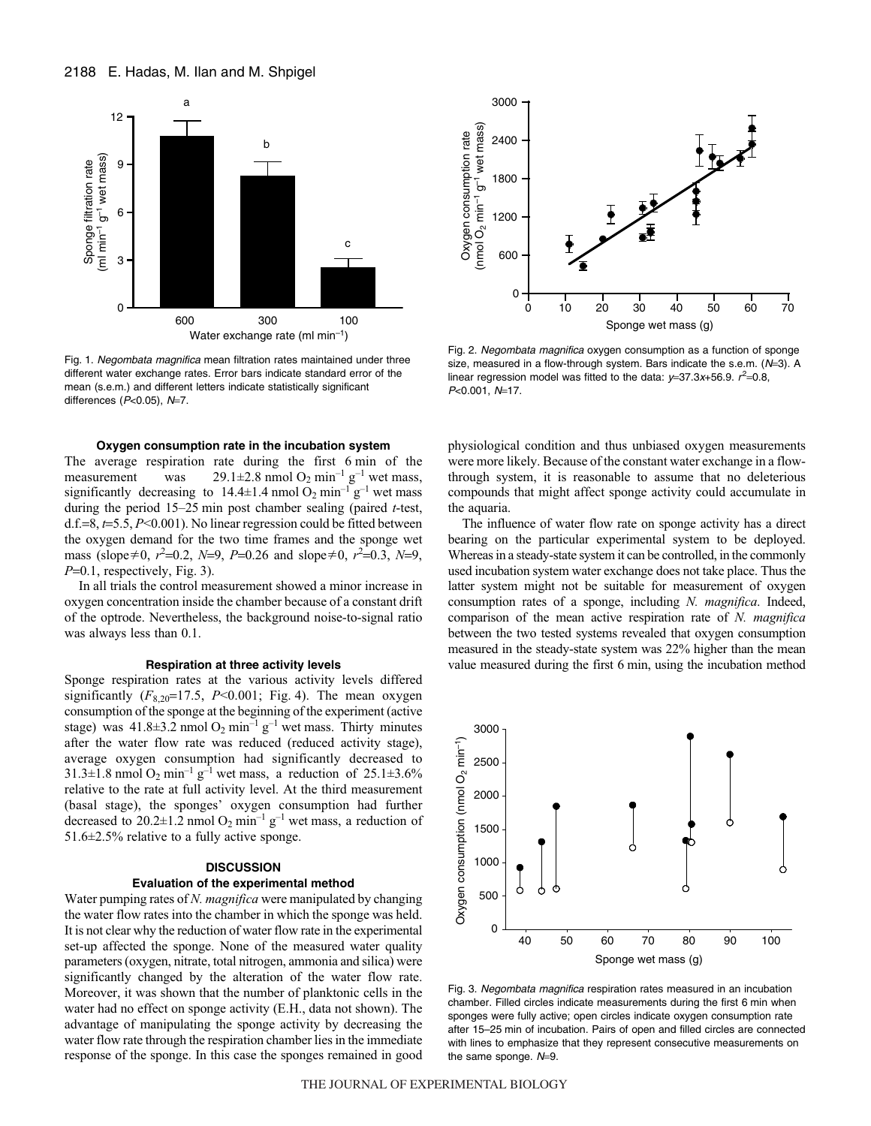

Fig. 1. Negombata magnifica mean filtration rates maintained under three different water exchange rates. Error bars indicate standard error of the mean (s.e.m.) and different letters indicate statistically significant differences  $(P<0.05)$ ,  $N=7$ .

### **Oxygen consumption rate in the incubation system**

The average respiration rate during the first  $6 \text{ min}$  of the measurement was 29.1 $\pm$ 2.8 nmol O<sub>2</sub> min<sup>-1</sup> g<sup>-1</sup> wet mass, significantly decreasing to  $14.4 \pm 1.4$  nmol O<sub>2</sub> min<sup>-1</sup> g<sup>-1</sup> wet mass during the period 15–25 min post chamber sealing (paired *t*-test, d.f.=8, *t*=5.5, *P*<0.001). No linear regression could be fitted between the oxygen demand for the two time frames and the sponge wet mass (slope $\neq$ 0,  $r^2$ =0.2, *N*=9, *P*=0.26 and slope $\neq$ 0,  $r^2$ =0.3, *N*=9,  $P=0.1$ , respectively, Fig. 3).

In all trials the control measurement showed a minor increase in oxygen concentration inside the chamber because of a constant drift of the optrode. Nevertheless, the background noise-to-signal ratio was always less than 0.1.

### **Respiration at three activity levels**

Sponge respiration rates at the various activity levels differed significantly  $(F_{8,20}=17.5, P<0.001;$  Fig. 4). The mean oxygen consumption of the sponge at the beginning of the experiment (active stage) was  $41.8\pm3.2$  nmol O<sub>2</sub> min<sup>-1</sup> g<sup>-1</sup> wet mass. Thirty minutes after the water flow rate was reduced (reduced activity stage), average oxygen consumption had significantly decreased to 31.3±1.8 nmol O<sub>2</sub> min<sup>-1</sup> g<sup>-1</sup> wet mass, a reduction of 25.1±3.6% relative to the rate at full activity level. At the third measurement (basal stage), the sponges' oxygen consumption had further decreased to 20.2 $\pm$ 1.2 nmol O<sub>2</sub> min<sup>-1</sup> g<sup>-1</sup> wet mass, a reduction of 51.6±2.5% relative to a fully active sponge.

# **DISCUSSION**

# **Evaluation of the experimental method**

Water pumping rates of *N. magnifica* were manipulated by changing the water flow rates into the chamber in which the sponge was held. It is not clear why the reduction of water flow rate in the experimental set-up affected the sponge. None of the measured water quality parameters (oxygen, nitrate, total nitrogen, ammonia and silica) were significantly changed by the alteration of the water flow rate. Moreover, it was shown that the number of planktonic cells in the water had no effect on sponge activity (E.H., data not shown). The advantage of manipulating the sponge activity by decreasing the water flow rate through the respiration chamber lies in the immediate response of the sponge. In this case the sponges remained in good



Fig. 2. Negombata magnifica oxygen consumption as a function of sponge size, measured in a flow-through system. Bars indicate the s.e.m. (N=3). A linear regression model was fitted to the data:  $y=37.3x+56.9$ .  $r^2=0.8$ , <sup>P</sup><0.001, N=17.

physiological condition and thus unbiased oxygen measurements were more likely. Because of the constant water exchange in a flowthrough system, it is reasonable to assume that no deleterious compounds that might affect sponge activity could accumulate in the aquaria.

The influence of water flow rate on sponge activity has a direct bearing on the particular experimental system to be deployed. Whereas in a steady-state system it can be controlled, in the commonly used incubation system water exchange does not take place. Thus the latter system might not be suitable for measurement of oxygen consumption rates of a sponge, including *N. magnifica*. Indeed, comparison of the mean active respiration rate of *N. magnifica* between the two tested systems revealed that oxygen consumption measured in the steady-state system was 22% higher than the mean value measured during the first 6 min, using the incubation method



Fig. 3. Negombata magnifica respiration rates measured in an incubation chamber. Filled circles indicate measurements during the first 6 min when sponges were fully active; open circles indicate oxygen consumption rate after 15-25 min of incubation. Pairs of open and filled circles are connected with lines to emphasize that they represent consecutive measurements on the same sponge.  $N=9$ .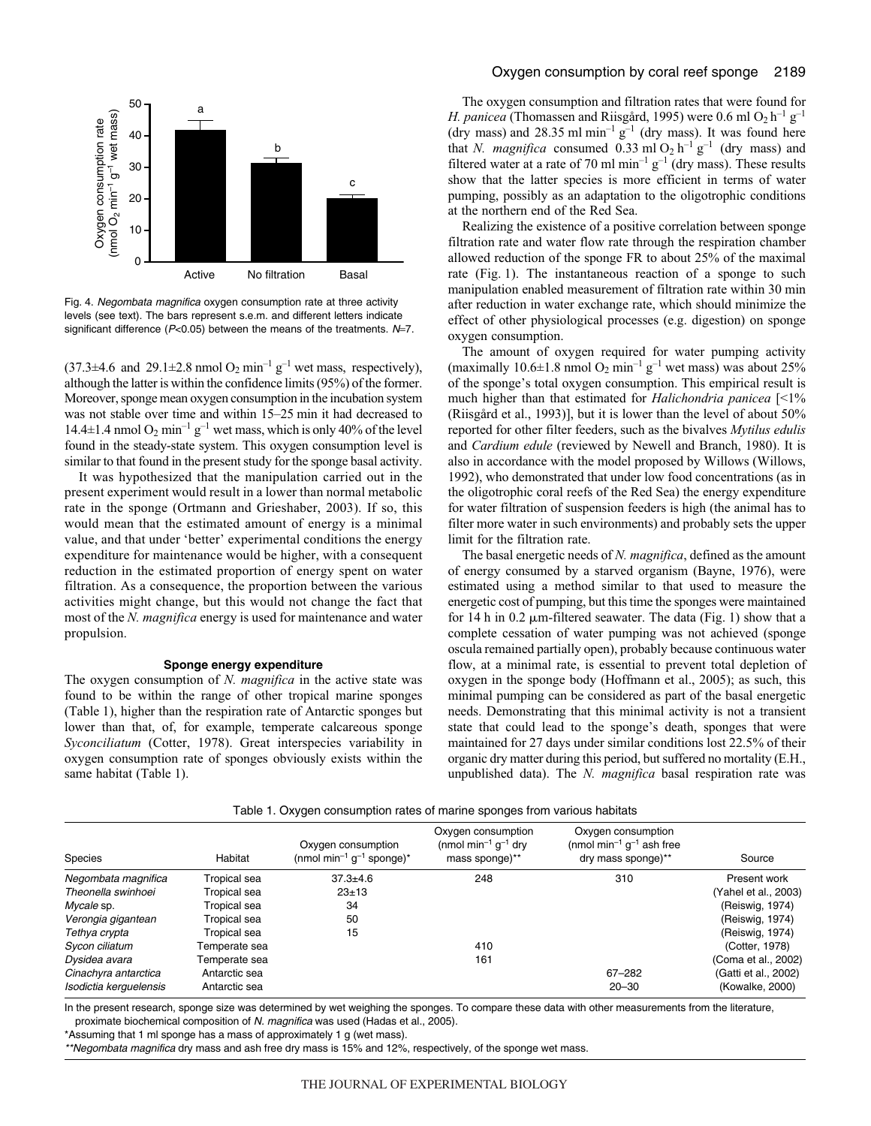

Fig. 4. Negombata magnifica oxygen consumption rate at three activity levels (see text). The bars represent s.e.m. and different letters indicate significant difference ( $P<0.05$ ) between the means of the treatments.  $N=7$ .

 $(37.3\pm4.6 \text{ and } 29.1\pm2.8 \text{ nmol O}_2\text{ min}^{-1} \text{ g}^{-1}$  wet mass, respectively), although the latter is within the confidence limits (95%) of the former. Moreover, sponge mean oxygen consumption in the incubation system was not stable over time and within 15–25 min it had decreased to 14.4 $\pm$ 1.4 nmol O<sub>2</sub> min<sup>-1</sup> g<sup>-1</sup> wet mass, which is only 40% of the level found in the steady-state system. This oxygen consumption level is similar to that found in the present study for the sponge basal activity.

It was hypothesized that the manipulation carried out in the present experiment would result in a lower than normal metabolic rate in the sponge (Ortmann and Grieshaber, 2003). If so, this would mean that the estimated amount of energy is a minimal value, and that under 'better' experimental conditions the energy expenditure for maintenance would be higher, with a consequent reduction in the estimated proportion of energy spent on water filtration. As a consequence, the proportion between the various activities might change, but this would not change the fact that most of the *N. magnifica* energy is used for maintenance and water propulsion.

# **Sponge energy expenditure**

The oxygen consumption of *N. magnifica* in the active state was found to be within the range of other tropical marine sponges (Table 1), higher than the respiration rate of Antarctic sponges but lower than that, of, for example, temperate calcareous sponge *Syconciliatum* (Cotter, 1978). Great interspecies variability in oxygen consumption rate of sponges obviously exists within the same habitat (Table 1).

The oxygen consumption and filtration rates that were found for *H. panicea* (Thomassen and Riisgård, 1995) were 0.6 ml  $O_2h^{-1}g^{-1}$ (dry mass) and 28.35 ml min<sup>-1</sup>  $g^{-1}$  (dry mass). It was found here that *N. magnifica* consumed 0.33 ml O<sub>2</sub>  $h^{-1}g^{-1}$  (dry mass) and filtered water at a rate of 70 ml  $\text{min}^{-1}$  g<sup>-1</sup> (dry mass). These results show that the latter species is more efficient in terms of water pumping, possibly as an adaptation to the oligotrophic conditions at the northern end of the Red Sea.

Realizing the existence of a positive correlation between sponge filtration rate and water flow rate through the respiration chamber allowed reduction of the sponge FR to about 25% of the maximal rate (Fig. 1). The instantaneous reaction of a sponge to such manipulation enabled measurement of filtration rate within 30 min after reduction in water exchange rate, which should minimize the effect of other physiological processes (e.g. digestion) on sponge oxygen consumption.

The amount of oxygen required for water pumping activity (maximally 10.6 $\pm$ 1.8 nmol O<sub>2</sub> min<sup>-1</sup> g<sup>-1</sup> wet mass) was about 25% of the sponge's total oxygen consumption. This empirical result is much higher than that estimated for *Halichondria panicea* [<1% (Riisgård et al., 1993)], but it is lower than the level of about 50% reported for other filter feeders, such as the bivalves *Mytilus edulis* and *Cardium edule* (reviewed by Newell and Branch, 1980). It is also in accordance with the model proposed by Willows (Willows, 1992), who demonstrated that under low food concentrations (as in the oligotrophic coral reefs of the Red Sea) the energy expenditure for water filtration of suspension feeders is high (the animal has to filter more water in such environments) and probably sets the upper limit for the filtration rate.

The basal energetic needs of *N. magnifica*, defined as the amount of energy consumed by a starved organism (Bayne, 1976), were estimated using a method similar to that used to measure the energetic cost of pumping, but this time the sponges were maintained for 14 h in 0.2  $\mu$ m-filtered seawater. The data (Fig. 1) show that a complete cessation of water pumping was not achieved (sponge oscula remained partially open), probably because continuous water flow, at a minimal rate, is essential to prevent total depletion of oxygen in the sponge body (Hoffmann et al., 2005); as such, this minimal pumping can be considered as part of the basal energetic needs. Demonstrating that this minimal activity is not a transient state that could lead to the sponge's death, sponges that were maintained for 27 days under similar conditions lost 22.5% of their organic dry matter during this period, but suffered no mortality (E.H., unpublished data). The *N. magnifica* basal respiration rate was

Table 1. Oxygen consumption rates of marine sponges from various habitats

| <b>Species</b>         | Habitat       | Oxygen consumption<br>(nmol min <sup>-1</sup> $g^{-1}$ sponge)* | Oxygen consumption<br>(nmol min <sup>-1</sup> $q^{-1}$ dry<br>mass sponge)** | Oxygen consumption<br>(nmol min <sup>-1</sup> $g^{-1}$ ash free<br>dry mass sponge)** | Source               |
|------------------------|---------------|-----------------------------------------------------------------|------------------------------------------------------------------------------|---------------------------------------------------------------------------------------|----------------------|
| Negombata magnifica    | Tropical sea  | $37.3 + 4.6$                                                    | 248                                                                          | 310                                                                                   | Present work         |
| Theonella swinhoei     | Tropical sea  | $23 + 13$                                                       |                                                                              |                                                                                       | (Yahel et al., 2003) |
| Mycale sp.             | Tropical sea  | 34                                                              |                                                                              |                                                                                       | (Reiswig, 1974)      |
| Verongia gigantean     | Tropical sea  | 50                                                              |                                                                              |                                                                                       | (Reiswig, 1974)      |
| Tethya crypta          | Tropical sea  | 15                                                              |                                                                              |                                                                                       | (Reiswig, 1974)      |
| Sycon ciliatum         | Temperate sea |                                                                 | 410                                                                          |                                                                                       | (Cotter, 1978)       |
| Dysidea avara          | Temperate sea |                                                                 | 161                                                                          |                                                                                       | (Coma et al., 2002)  |
| Cinachyra antarctica   | Antarctic sea |                                                                 |                                                                              | $67 - 282$                                                                            | (Gatti et al., 2002) |
| Isodictia kerguelensis | Antarctic sea |                                                                 |                                                                              | $20 - 30$                                                                             | (Kowalke, 2000)      |

In the present research, sponge size was determined by wet weighing the sponges. To compare these data with other measurements from the literature, proximate biochemical composition of N. magnifica was used (Hadas et al., 2005).

\*Assuming that 1 ml sponge has a mass of approximately 1 g (wet mass).

\*\*Negombata magnifica dry mass and ash free dry mass is 15% and 12%, respectively, of the sponge wet mass.